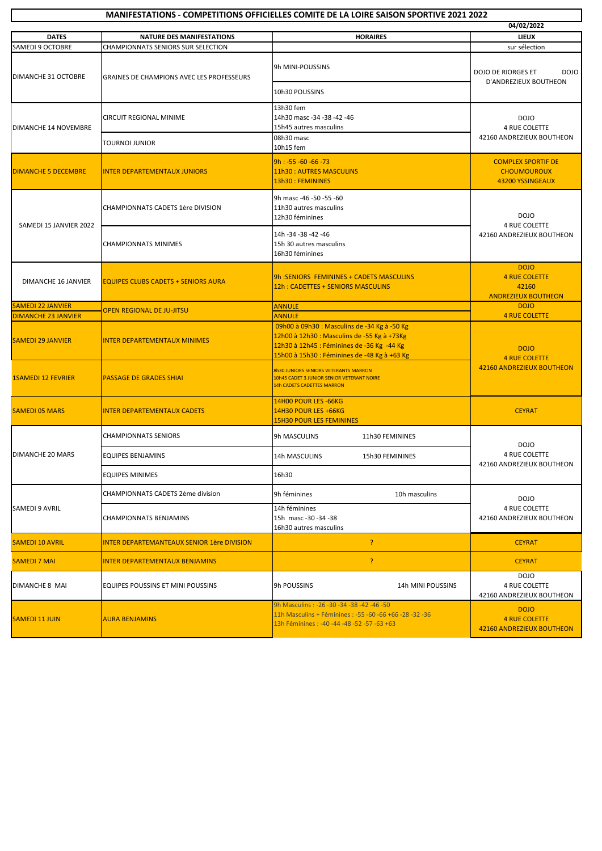| <b>MANIFESTATIONS - COMPETITIONS OFFICIELLES COMITE DE LA LOIRE SAISON SPORTIVE 2021 2022</b> |                                                  |                                                                                                                                                    |                                                                  |  |
|-----------------------------------------------------------------------------------------------|--------------------------------------------------|----------------------------------------------------------------------------------------------------------------------------------------------------|------------------------------------------------------------------|--|
|                                                                                               |                                                  |                                                                                                                                                    | 04/02/2022                                                       |  |
| <b>DATES</b>                                                                                  | <b>NATURE DES MANIFESTATIONS</b>                 | <b>HORAIRES</b>                                                                                                                                    | <b>LIEUX</b>                                                     |  |
| <b>SAMEDI 9 OCTOBRE</b>                                                                       | CHAMPIONNATS SENIORS SUR SELECTION               |                                                                                                                                                    | sur sélection                                                    |  |
| DIMANCHE 31 OCTOBRE                                                                           | <b>GRAINES DE CHAMPIONS AVEC LES PROFESSEURS</b> | 9h MINI-POUSSINS                                                                                                                                   | DOJO DE RIORGES ET<br>DOJO<br>D'ANDREZIEUX BOUTHEON              |  |
|                                                                                               |                                                  | 10h30 POUSSINS                                                                                                                                     |                                                                  |  |
| DIMANCHE 14 NOVEMBRE                                                                          | CIRCUIT REGIONAL MINIME                          | 13h30 fem                                                                                                                                          | <b>DOJO</b><br>4 RUE COLETTE<br>42160 ANDREZIEUX BOUTHEON        |  |
|                                                                                               |                                                  | 14h30 masc -34 -38 -42 -46<br>15h45 autres masculins                                                                                               |                                                                  |  |
|                                                                                               | TOURNOI JUNIOR                                   | 08h30 masc<br>10h15 fem                                                                                                                            |                                                                  |  |
| <b>DIMANCHE 5 DECEMBRE</b>                                                                    | <b>INTER DEPARTEMENTAUX JUNIORS</b>              | $9h : -55 -60 -66 -73$                                                                                                                             | <b>COMPLEX SPORTIF DE</b><br><b>CHOUMOUROUX</b>                  |  |
|                                                                                               |                                                  | 11h30: AUTRES MASCULINS                                                                                                                            |                                                                  |  |
|                                                                                               |                                                  | 13h30 : FEMININES                                                                                                                                  | 43200 YSSINGEAUX                                                 |  |
|                                                                                               | CHAMPIONNATS CADETS 1ère DIVISION                | 9h masc -46 -50 -55 -60                                                                                                                            | <b>DOJO</b><br>4 RUE COLETTE<br>42160 ANDREZIEUX BOUTHEON        |  |
|                                                                                               |                                                  | 11h30 autres masculins                                                                                                                             |                                                                  |  |
| SAMEDI 15 JANVIER 2022                                                                        |                                                  | 12h30 féminines                                                                                                                                    |                                                                  |  |
|                                                                                               | <b>CHAMPIONNATS MINIMES</b>                      | 14h - 34 - 38 - 42 - 46                                                                                                                            |                                                                  |  |
|                                                                                               |                                                  | 15h 30 autres masculins                                                                                                                            |                                                                  |  |
|                                                                                               |                                                  | 16h30 féminines                                                                                                                                    |                                                                  |  |
|                                                                                               | <b>EQUIPES CLUBS CADETS + SENIORS AURA</b>       |                                                                                                                                                    | <b>DOJO</b>                                                      |  |
| DIMANCHE 16 JANVIER                                                                           |                                                  | 9h: SENIORS FEMININES + CADETS MASCULINS<br>12h: CADETTES + SENIORS MASCULINS                                                                      | <b>4 RUE COLETTE</b><br>42160                                    |  |
|                                                                                               |                                                  |                                                                                                                                                    | <b>ANDREZIEUX BOUTHEON</b>                                       |  |
| <b>SAMEDI 22 JANVIER</b>                                                                      |                                                  | <b>ANNULE</b>                                                                                                                                      | <b>DOJO</b>                                                      |  |
| <b>DIMANCHE 23 JANVIER</b>                                                                    | <b>OPEN REGIONAL DE JU-JITSU</b>                 | <b>ANNULE</b>                                                                                                                                      | <b>4 RUE COLETTE</b>                                             |  |
| <b>SAMEDI 29 JANVIER</b>                                                                      | <b>INTER DEPARTEMENTAUX MINIMES</b>              | 09h00 à 09h30 : Masculins de -34 Kg à -50 Kg                                                                                                       | <b>DOJO</b><br><b>4 RUE COLETTE</b><br>42160 ANDREZIEUX BOUTHEON |  |
|                                                                                               |                                                  | 12h00 à 12h30 : Masculins de -55 Kg à +73Kg<br>12h30 à 12h45 : Féminines de -36 Kg -44 Kg                                                          |                                                                  |  |
|                                                                                               |                                                  | 15h00 à 15h30 : Féminines de -48 Kg à +63 Kg                                                                                                       |                                                                  |  |
| <b>1SAMEDI 12 FEVRIER</b>                                                                     | <b>PASSAGE DE GRADES SHIAI</b>                   | <b>8h30 JUNIORS SENIORS VETERANTS MARRON</b><br>10h45 CADET 3 JUNIOR SENIOR VETERANT NOIRE<br><b>14h CADETS CADETTES MARRON</b>                    |                                                                  |  |
|                                                                                               |                                                  | 14H00 POUR LES -66KG                                                                                                                               |                                                                  |  |
| <b>SAMEDI 05 MARS</b>                                                                         | <b>INTER DEPARTEMENTAUX CADETS</b>               | 14H30 POUR LES +66KG                                                                                                                               | <b>CEYRAT</b>                                                    |  |
|                                                                                               |                                                  | <b>15H30 POUR LES FEMININES</b>                                                                                                                    |                                                                  |  |
|                                                                                               | CHAMPIONNATS SENIORS                             | 9h MASCULINS<br>11h30 FEMININES                                                                                                                    | <b>DOJO</b><br>4 RUE COLETTE<br>42160 ANDREZIEUX BOUTHEON        |  |
| <b>DIMANCHE 20 MARS</b>                                                                       | EQUIPES BENJAMINS                                | 14h MASCULINS<br>15h30 FEMININES                                                                                                                   |                                                                  |  |
|                                                                                               | <b>EQUIPES MINIMES</b>                           | 16h30                                                                                                                                              |                                                                  |  |
| SAMEDI 9 AVRIL                                                                                | CHAMPIONNATS CADETS 2ème division                | 9h féminines<br>10h masculins                                                                                                                      | <b>DOJO</b><br>4 RUE COLETTE<br>42160 ANDREZIEUX BOUTHEON        |  |
|                                                                                               | CHAMPIONNATS BENJAMINS                           | 14h féminines<br>15h masc -30 -34 -38<br>16h30 autres masculins                                                                                    |                                                                  |  |
| <b>SAMEDI 10 AVRIL</b>                                                                        | INTER DEPARTEMANTEAUX SENIOR 1ère DIVISION       | P                                                                                                                                                  | <b>CEYRAT</b>                                                    |  |
| <b>SAMEDI 7 MAI</b>                                                                           | INTER DEPARTEMENTAUX BENJAMINS                   | P                                                                                                                                                  | <b>CEYRAT</b>                                                    |  |
| DIMANCHE 8 MAI                                                                                | EQUIPES POUSSINS ET MINI POUSSINS                | 9h POUSSINS<br>14h MINI POUSSINS                                                                                                                   | <b>DOJO</b><br><b>4 RUE COLETTE</b><br>42160 ANDREZIEUX BOUTHEON |  |
| <b>SAMEDI 11 JUIN</b>                                                                         | <b>AURA BENJAMINS</b>                            | 9h Masculins: -26 -30 -34 -38 -42 -46 -50<br>11h Masculins + Féminines : -55 -60 -66 +66 -28 -32 -36<br>13h Féminines: -40 -44 -48 -52 -57 -63 +63 | <b>DOJO</b><br><b>4 RUE COLETTE</b><br>42160 ANDREZIEUX BOUTHEON |  |